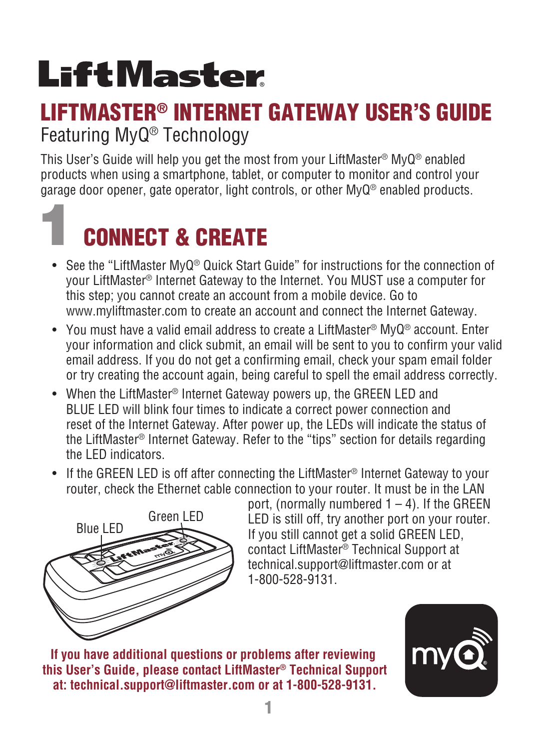## **LiftMaster**

### LIFTMASTER® INTERNET GATEWAY USER'S GUIDE Featuring MyQ® Technology

This User's Guide will help you get the most from your LiftMaster® MyQ® enabled products when using a smartphone, tablet, or computer to monitor and control your garage door opener, gate operator, light controls, or other MyQ® enabled products.

### 1CONNECT & CREATE

- See the "LiftMaster MyQ® Quick Start Guide" for instructions for the connection of your LiftMaster® Internet Gateway to the Internet. You MUST use a computer for this step; you cannot create an account from a mobile device. Go to www.myliftmaster.com to create an account and connect the Internet Gateway.
- You must have a valid email address to create a LiftMaster® MyQ® account. Enter your information and click submit, an email will be sent to you to confirm your valid email address. If you do not get a confirming email, check your spam email folder or try creating the account again, being careful to spell the email address correctly.
- When the LiftMaster® Internet Gateway powers up, the GREEN LED and BLUE LED will blink four times to indicate a correct power connection and reset of the Internet Gateway. After power up, the LEDs will indicate the status of the LiftMaster® Internet Gateway. Refer to the "tips" section for details regarding the LED indicators.
- If the GREEN LED is off after connecting the LiftMaster<sup>®</sup> Internet Gateway to your router, check the Ethernet cable connection to your router. It must be in the LAN



port, (normally numbered  $1 - 4$ ). If the GREEN LED is still off, try another port on your router. If you still cannot get a solid GREEN LED, contact LiftMaster® Technical Support at technical.support@liftmaster.com or at 1-800-528-9131.

**If you have additional questions or problems after reviewing this User's Guide, please contact LiftMaster® Technical Support at: technical.support@liftmaster.com or at 1-800-528-9131.**

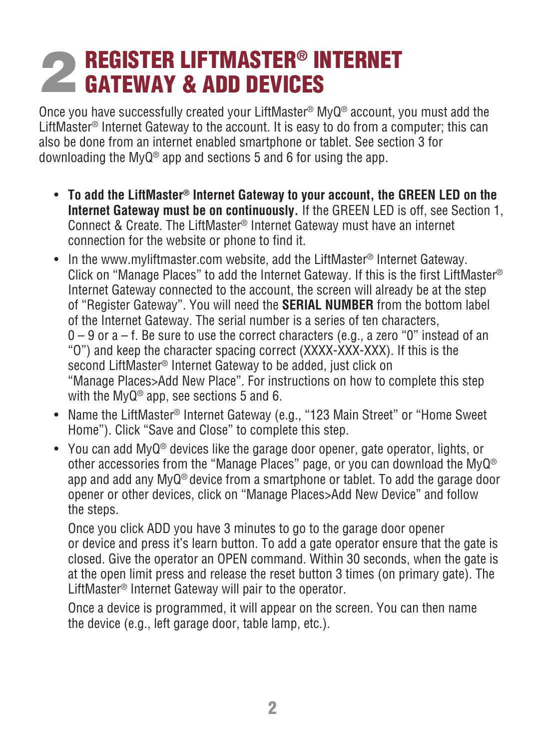### **2 REGISTER LIFTMASTER® INTERNET<br>CGATEWAY & ADD DEVICES CATEWAY & ADD DEVICES**

Once you have successfully created your LiftMaster® MyQ® account, you must add the LiftMaster® Internet Gateway to the account. It is easy to do from a computer; this can also be done from an internet enabled smartphone or tablet. See section 3 for downloading the MyQ® app and sections 5 and 6 for using the app.

- **To add the LiftMaster® Internet Gateway to your account, the GREEN LED on the Internet Gateway must be on continuously.** If the GREEN LED is off, see Section 1, Connect & Create. The LiftMaster® Internet Gateway must have an internet connection for the website or phone to find it.
- In the www.myliftmaster.com website, add the LiftMaster® Internet Gateway. Click on "Manage Places" to add the Internet Gateway. If this is the first LiftMaster® Internet Gateway connected to the account, the screen will already be at the step of "Register Gateway". You will need the **SERIAL NUMBER** from the bottom label of the Internet Gateway. The serial number is a series of ten characters,  $0 - 9$  or  $a - f$ . Be sure to use the correct characters (e.g., a zero "0" instead of an "O") and keep the character spacing correct (XXXX-XXX-XXX). If this is the second LiftMaster<sup>®</sup> Internet Gateway to be added, just click on "Manage Places>Add New Place". For instructions on how to complete this step with the MyQ® app, see sections 5 and 6.
- Name the LiftMaster® Internet Gateway (e.g., "123 Main Street" or "Home Sweet Home"). Click "Save and Close" to complete this step.
- You can add MyQ® devices like the garage door opener, gate operator, lights, or other accessories from the "Manage Places" page, or you can download the MyQ® app and add any MyQ® device from a smartphone or tablet. To add the garage door opener or other devices, click on "Manage Places>Add New Device" and follow the steps.

 Once you click ADD you have 3 minutes to go to the garage door opener or device and press it's learn button. To add a gate operator ensure that the gate is closed. Give the operator an OPEN command. Within 30 seconds, when the gate is at the open limit press and release the reset button 3 times (on primary gate). The LiftMaster® Internet Gateway will pair to the operator.

 Once a device is programmed, it will appear on the screen. You can then name the device (e.g., left garage door, table lamp, etc.).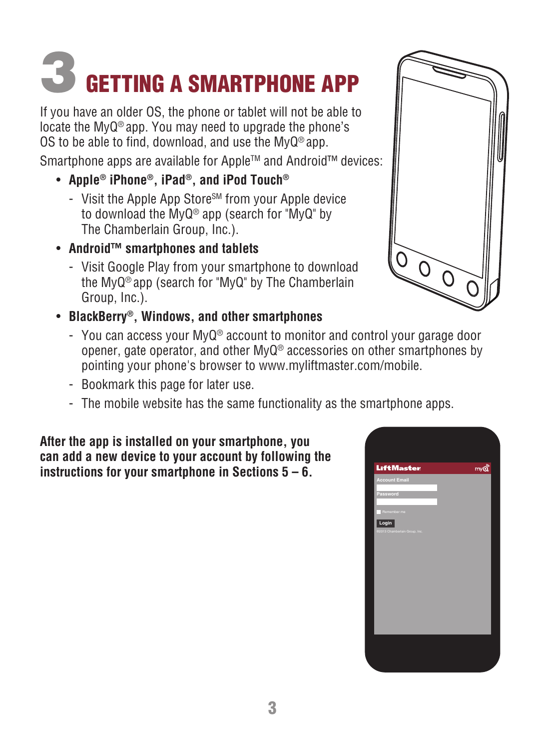### 3 GETTING A SMARTPHONE APP

If you have an older OS, the phone or tablet will not be able to locate the MyQ® app. You may need to upgrade the phone's OS to be able to find, download, and use the MyQ® app.

Smartphone apps are available for Apple™ and Android™ devices:

- **Apple® iPhone®, iPad®, and iPod Touch®**
	- Visit the Apple App StoreSM from your Apple device to download the MyQ® app (search for "MyQ" by The Chamberlain Group, Inc.).
- **Android™ smartphones and tablets**
	- Visit Google Play from your smartphone to download the MyQ® app (search for "MyQ" by The Chamberlain Group, Inc.).
- **BlackBerry®, Windows, and other smartphones** 
	- You can access your MyQ® account to monitor and control your garage door opener, gate operator, and other MyQ® accessories on other smartphones by pointing your phone's browser to www.myliftmaster.com/mobile.
	- Bookmark this page for later use.
	- The mobile website has the same functionality as the smartphone apps.

**After the app is installed on your smartphone, you can add a new device to your account by following the instructions for your smartphone in Sections 5 – 6.**



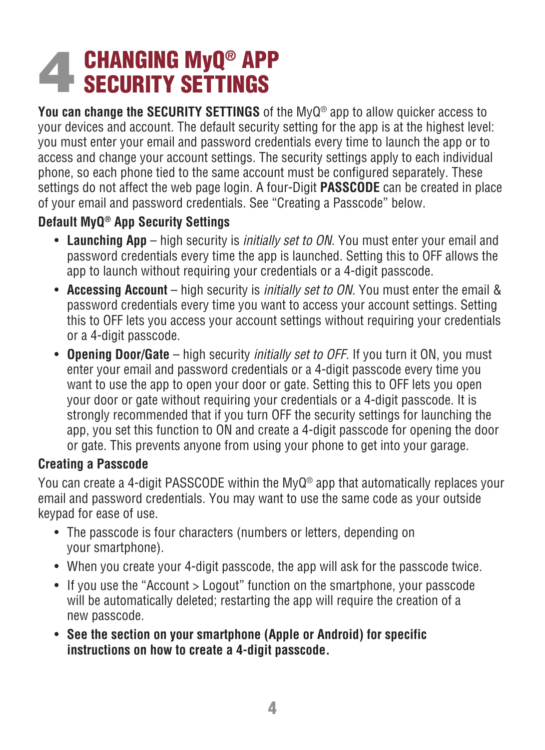### **4 CHANGING MyQ® APP**<br>**SECURITY SETTINGS** SECURITY SETTINGS

**You can change the SECURITY SETTINGS** of the MyQ® app to allow quicker access to your devices and account. The default security setting for the app is at the highest level: you must enter your email and password credentials every time to launch the app or to access and change your account settings. The security settings apply to each individual phone, so each phone tied to the same account must be configured separately. These settings do not affect the web page login. A four-Digit **PASSCODE** can be created in place of your email and password credentials. See "Creating a Passcode" below.

### **Default MyQ® App Security Settings**

- **Launching App**  high security is *initially set to ON*. You must enter your email and password credentials every time the app is launched. Setting this to OFF allows the app to launch without requiring your credentials or a 4-digit passcode.
- **Accessing Account**  high security is *initially set to ON*. You must enter the email & password credentials every time you want to access your account settings. Setting this to OFF lets you access your account settings without requiring your credentials or a 4-digit passcode.
- **Opening Door/Gate**  high security *initially set to OFF*. If you turn it ON, you must enter your email and password credentials or a 4-digit passcode every time you want to use the app to open your door or gate. Setting this to OFF lets you open your door or gate without requiring your credentials or a 4-digit passcode. It is strongly recommended that if you turn OFF the security settings for launching the app, you set this function to ON and create a 4-digit passcode for opening the door or gate. This prevents anyone from using your phone to get into your garage.

### **Creating a Passcode**

You can create a 4-digit PASSCODE within the MyQ® app that automatically replaces your email and password credentials. You may want to use the same code as your outside keypad for ease of use.

- The passcode is four characters (numbers or letters, depending on your smartphone).
- When you create your 4-digit passcode, the app will ask for the passcode twice.
- If you use the "Account > Logout" function on the smartphone, your passcode will be automatically deleted; restarting the app will require the creation of a new passcode.
- **See the section on your smartphone (Apple or Android) for specific instructions on how to create a 4-digit passcode.**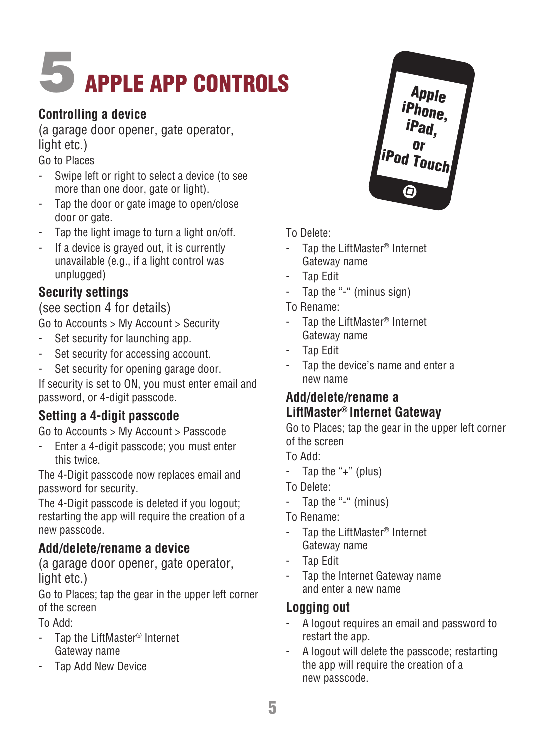## **APPLE APP CONTROLS**

### **Controlling a device**

(a garage door opener, gate operator, light etc.)

Go to Places

- Swipe left or right to select a device (to see more than one door, gate or light).
- Tap the door or gate image to open/close door or gate.
- Tap the light image to turn a light on/off.
- If a device is grayed out, it is currently unavailable (e.g., if a light control was unplugged)

### **Security settings**

### (see section 4 for details)

Go to Accounts > My Account > Security

- Set security for launching app.
- Set security for accessing account.
- Set security for opening garage door.

If security is set to ON, you must enter email and password, or 4-digit passcode.

### **Setting a 4-digit passcode**

Go to Accounts > My Account > Passcode

- Enter a 4-digit passcode; you must enter this twice.

The 4-Digit passcode now replaces email and password for security.

The 4-Digit passcode is deleted if you logout; restarting the app will require the creation of a new passcode.

### **Add/delete/rename a device**

(a garage door opener, gate operator, light etc.)

Go to Places; tap the gear in the upper left corner of the screen

To Add:

- Tap the LiftMaster<sup>®</sup> Internet Gateway name
- Tap Add New Device



- Tap the LiftMaster® Internet Gateway name
- Tap Edit
- Tap the "-" (minus sign)
- To Rename:
- Tap the LiftMaster<sup>®</sup> Internet Gateway name
- Tap Edit
- Tap the device's name and enter a new name

### **Add/delete/rename a LiftMaster® Internet Gateway**

Go to Places; tap the gear in the upper left corner of the screen

Apple iPhone, iPad, l<br>iPod Touch

- To Add:
- Tap the "+" (plus)
- To Delete:
- Tap the "-" (minus)

To Rename:

- Tap the LiftMaster® Internet Gateway name
- Tap Edit
- Tap the Internet Gateway name and enter a new name

### **Logging out**

- A logout requires an email and password to restart the app.
- A logout will delete the passcode; restarting the app will require the creation of a new passcode.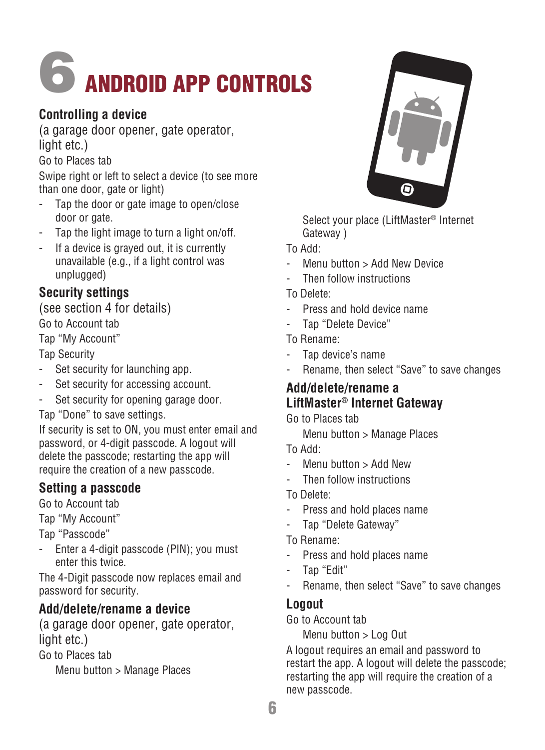## 6ANDROID APP CONTROLS

### **Controlling a device**

(a garage door opener, gate operator, light etc.)

Go to Places tab

Swipe right or left to select a device (to see more than one door, gate or light)

- Tap the door or gate image to open/close door or gate.
- Tap the light image to turn a light on/off.
- If a device is grayed out, it is currently unavailable (e.g., if a light control was unplugged)

### **Security settings**

(see section 4 for details)

Go to Account tab

Tap "My Account"

Tap Security

- Set security for launching app.
- Set security for accessing account.
- Set security for opening garage door.

Tap "Done" to save settings.

If security is set to ON, you must enter email and password, or 4-digit passcode. A logout will delete the passcode; restarting the app will require the creation of a new passcode.

### **Setting a passcode**

Go to Account tab

Tap "My Account"

Tap "Passcode"

- Enter a 4-digit passcode (PIN); you must enter this twice.

The 4-Digit passcode now replaces email and password for security.

### **Add/delete/rename a device**

(a garage door opener, gate operator, light etc.)

Go to Places tab

Menu button > Manage Places



 Select your place (LiftMaster® Internet Gateway )

To Add:

- Menu button > Add New Device
- Then follow instructions
- To Delete:
- Press and hold device name
- Tap "Delete Device"

To Rename:

- Tap device's name
- Rename, then select "Save" to save changes

### **Add/delete/rename a LiftMaster® Internet Gateway**

Go to Places tab

Menu button > Manage Places

- To Add:
- Menu button > Add New
- Then follow instructions
- To Delete:
- Press and hold places name
- Tap "Delete Gateway"
- To Rename:
- Press and hold places name
- Tap "Edit"
- Rename, then select "Save" to save changes

### **Logout**

Go to Account tab

Menu button > Log Out

A logout requires an email and password to restart the app. A logout will delete the passcode; restarting the app will require the creation of a new passcode.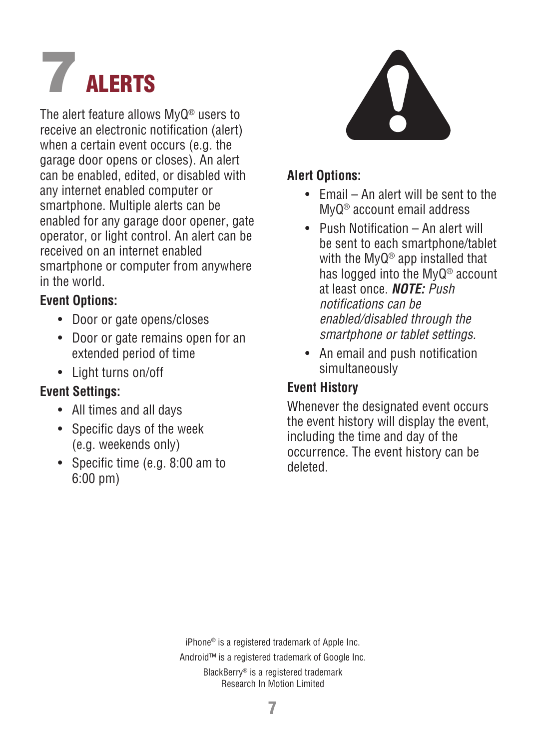# **7** ALERTS

The alert feature allows MyQ® users to receive an electronic notification (alert) when a certain event occurs (e.g. the garage door opens or closes). An alert can be enabled, edited, or disabled with any internet enabled computer or smartphone. Multiple alerts can be enabled for any garage door opener, gate operator, or light control. An alert can be received on an internet enabled smartphone or computer from anywhere in the world.

### **Event Options:**

- Door or gate opens/closes
- Door or gate remains open for an extended period of time
- Light turns on/off

### **Event Settings:**

- All times and all days
- Specific days of the week (e.g. weekends only)
- Specific time (e.g. 8:00 am to 6:00 pm)



### **Alert Options:**

- Email An alert will be sent to the MyQ® account email address
- Push Notification An alert will be sent to each smartphone/tablet with the MyQ® app installed that has logged into the MyQ® account at least once. *NOTE: Push notifications can be enabled/disabled through the smartphone or tablet settings.*
- An email and push notification simultaneously

### **Event History**

Whenever the designated event occurs the event history will display the event, including the time and day of the occurrence. The event history can be deleted.

iPhone® is a registered trademark of Apple Inc.

Android™ is a registered trademark of Google Inc.

BlackBerry® is a registered trademark Research In Motion Limited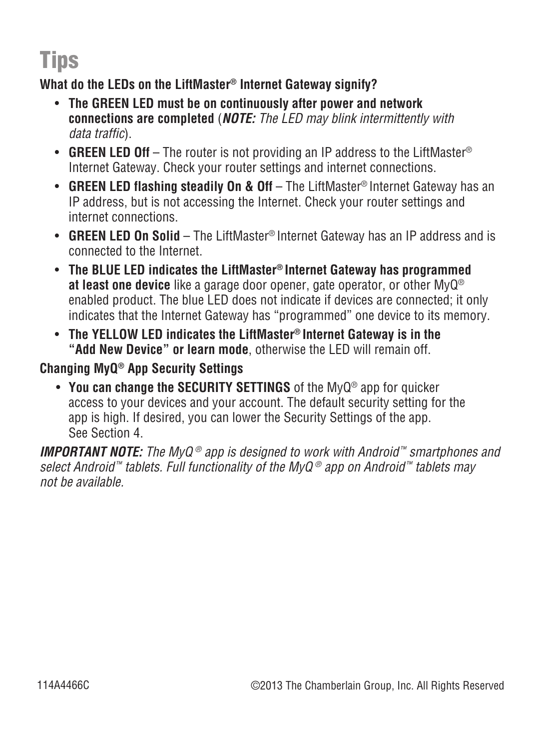### Tips

### **What do the LEDs on the LiftMaster® Internet Gateway signify?**

- **The GREEN LED must be on continuously after power and network connections are completed** (*NOTE: The LED may blink intermittently with data traffic*).
- **GREEN LED Off** The router is not providing an IP address to the LiftMaster<sup>®</sup> Internet Gateway. Check your router settings and internet connections.
- **GREEN LED flashing steadily On & Off** The LiftMaster® Internet Gateway has an IP address, but is not accessing the Internet. Check your router settings and internet connections.
- **GREEN LED On Solid**  The LiftMaster® Internet Gateway has an IP address and is connected to the Internet.
- **The BLUE LED indicates the LiftMaster® Internet Gateway has programmed at least one device** like a garage door opener, gate operator, or other MyQ® enabled product. The blue LED does not indicate if devices are connected; it only indicates that the Internet Gateway has "programmed" one device to its memory.
- **The YELLOW LED indicates the LiftMaster® Internet Gateway is in the "Add New Device" or learn mode**, otherwise the LED will remain off.

### **Changing MyQ® App Security Settings**

 • **You can change the SECURITY SETTINGS** of the MyQ® app for quicker access to your devices and your account. The default security setting for the app is high. If desired, you can lower the Security Settings of the app. See Section 4.

*IMPORTANT NOTE: The MyQ ® app is designed to work with Android ™ smartphones and select Android ™ tablets. Full functionality of the MyQ ® app on Android ™ tablets may not be available.*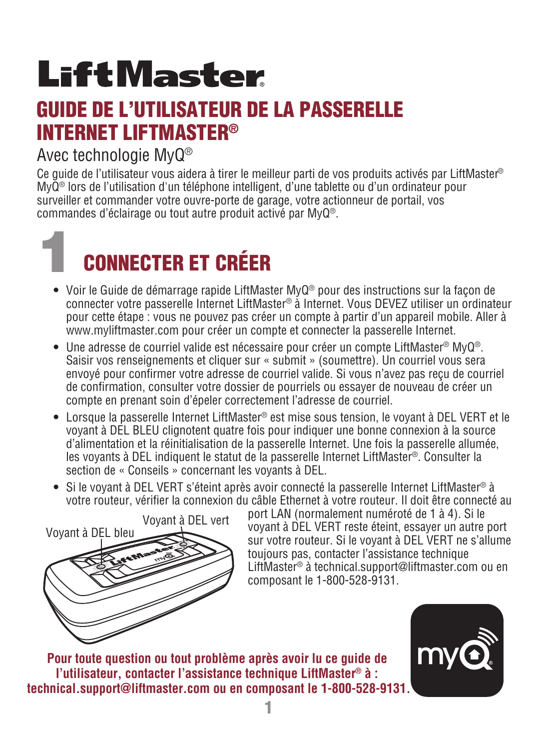## **LiftMaster**

### GUIDE DE L'UTILISATEUR DE LA PASSERELLE INTERNET LIFTMASTER®

### Avec technologie MyQ®

Ce guide de l'utilisateur vous aidera à tirer le meilleur parti de vos produits activés par LiftMaster ® MyQ<sup>®</sup> lors de l'utilisation d'un téléphone intelligent, d'une tablette ou d'un ordinateur pour surveiller et commander votre ouvre-porte de garage, votre actionneur de portail, vos commandes d'éclairage ou tout autre produit activé par MyQ®.

### 1CONNECTER ET CRÉER

- Voir le Guide de démarrage rapide LiftMaster MyQ® pour des instructions sur la façon de connecter votre passerelle Internet LiftMaster® à Internet. Vous DEVEZ utiliser un ordinateur pour cette étape : vous ne pouvez pas créer un compte à partir d'un appareil mobile. Aller à www.myliftmaster.com pour créer un compte et connecter la passerelle Internet.
- Une adresse de courriel valide est nécessaire pour créer un compte LiftMaster® MyQ®. Saisir vos renseignements et cliquer sur « submit » (soumettre). Un courriel vous sera envoyé pour confirmer votre adresse de courriel valide. Si vous n'avez pas reçu de courriel de confirmation, consulter votre dossier de pourriels ou essayer de nouveau de créer un compte en prenant soin d'épeler correctement l'adresse de courriel.
- Lorsque la passerelle Internet LiftMaster® est mise sous tension, le voyant à DEL VERT et le voyant à DEL BLEU clignotent quatre fois pour indiquer une bonne connexion à la source d'alimentation et la réinitialisation de la passerelle Internet. Une fois la passerelle allumée, les voyants à DEL indiquent le statut de la passerelle Internet LiftMaster®. Consulter la section de « Conseils » concernant les voyants à DEL.
- Si le voyant à DEL VERT s'éteint après avoir connecté la passerelle Internet LiftMaster® à votre routeur, vérifier la connexion du câble Ethernet à votre routeur. Il doit être connecté au



port LAN (normalement numéroté de 1 à 4). Si le voyant à DEL VERT reste éteint, essayer un autre port sur votre routeur. Si le voyant à DEL VERT ne s'allume toujours pas, contacter l'assistance technique LiftMaster® à technical.support@liftmaster.com ou en composant le 1-800-528-9131.

**Pour toute question ou tout problème après avoir lu ce guide de l'utilisateur, contacter l'assistance technique LiftMaster ® à : technical.support@liftmaster.com ou en composant le 1-800-528-9131.**

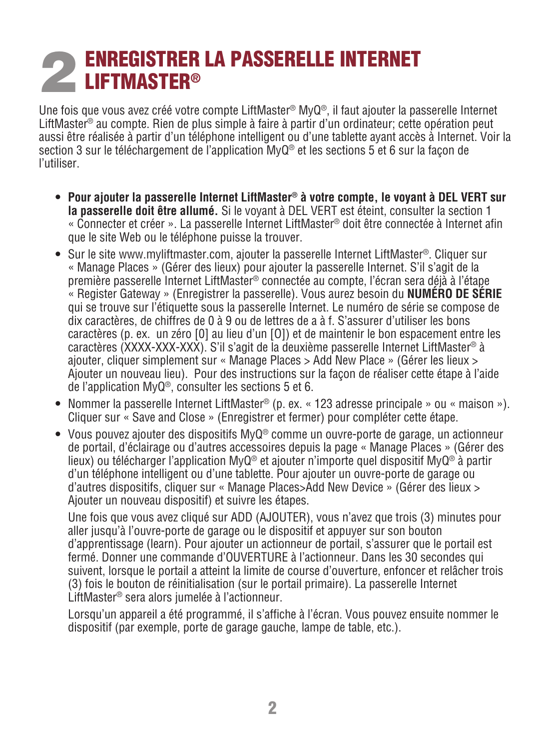### **2 ENREGISTRER**® ENREGISTRER LA PASSERELLE INTERNET

Une fois que vous avez créé votre compte LiftMaster® MyQ®, il faut ajouter la passerelle Internet LiftMaster® au compte. Rien de plus simple à faire à partir d'un ordinateur; cette opération peut aussi être réalisée à partir d'un téléphone intelligent ou d'une tablette ayant accès à Internet. Voir la section 3 sur le téléchargement de l'application MyQ® et les sections 5 et 6 sur la façon de l'utiliser.

- **Pour ajouter la passerelle Internet LiftMaster® à votre compte, le voyant à DEL VERT sur la passerelle doit être allumé.** Si le voyant à DEL VERT est éteint, consulter la section 1 « Connecter et créer ». La passerelle Internet LiftMaster® doit être connectée à Internet afin que le site Web ou le téléphone puisse la trouver.
- Sur le site www.myliftmaster.com, ajouter la passerelle Internet LiftMaster®. Cliquer sur « Manage Places » (Gérer des lieux) pour ajouter la passerelle Internet. S'il s'agit de la première passerelle Internet LiftMaster® connectée au compte, l'écran sera déjà à l'étape « Register Gateway » (Enregistrer la passerelle). Vous aurez besoin du **NUMÉRO DE SÉRIE** qui se trouve sur l'étiquette sous la passerelle Internet. Le numéro de série se compose de dix caractères, de chiffres de 0 à 9 ou de lettres de a à f. S'assurer d'utiliser les bons caractères (p. ex. un zéro [0] au lieu d'un [O]) et de maintenir le bon espacement entre les caractères (XXXX-XXX-XXX). S'il s'agit de la deuxième passerelle Internet LiftMaster® à ajouter, cliquer simplement sur « Manage Places > Add New Place » (Gérer les lieux > Ajouter un nouveau lieu). Pour des instructions sur la façon de réaliser cette étape à l'aide de l'application MyQ®, consulter les sections 5 et 6.
- Nommer la passerelle Internet LiftMaster® (p. ex. « 123 adresse principale » ou « maison »). Cliquer sur « Save and Close » (Enregistrer et fermer) pour compléter cette étape.
- Vous pouvez ajouter des dispositifs MyQ® comme un ouvre-porte de garage, un actionneur de portail, d'éclairage ou d'autres accessoires depuis la page « Manage Places » (Gérer des lieux) ou télécharger l'application MyQ® et ajouter n'importe quel dispositif MyQ® à partir d'un téléphone intelligent ou d'une tablette. Pour ajouter un ouvre-porte de garage ou d'autres dispositifs, cliquer sur « Manage Places>Add New Device » (Gérer des lieux > Ajouter un nouveau dispositif) et suivre les étapes.

 Une fois que vous avez cliqué sur ADD (AJOUTER), vous n'avez que trois (3) minutes pour aller jusqu'à l'ouvre-porte de garage ou le dispositif et appuyer sur son bouton d'apprentissage (learn). Pour ajouter un actionneur de portail, s'assurer que le portail est fermé. Donner une commande d'OUVERTURE à l'actionneur. Dans les 30 secondes qui suivent, lorsque le portail a atteint la limite de course d'ouverture, enfoncer et relâcher trois (3) fois le bouton de réinitialisation (sur le portail primaire). La passerelle Internet LiftMaster® sera alors jumelée à l'actionneur.

 Lorsqu'un appareil a été programmé, il s'affiche à l'écran. Vous pouvez ensuite nommer le dispositif (par exemple, porte de garage gauche, lampe de table, etc.).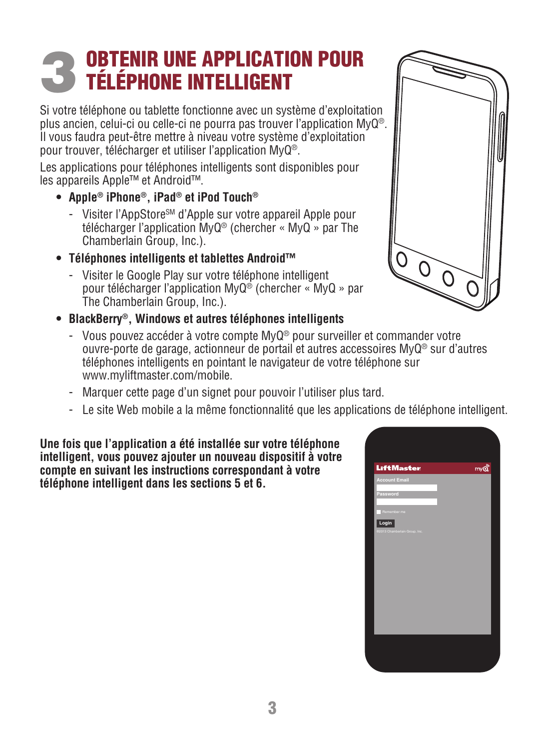### 3 OBTENIR UNE APPLICATION POUR TÉLÉPHONE INTELLIGENT

Si votre téléphone ou tablette fonctionne avec un système d'exploitation plus ancien, celui-ci ou celle-ci ne pourra pas trouver l'application MyQ®. Il vous faudra peut-être mettre à niveau votre système d'exploitation pour trouver, télécharger et utiliser l'application MyQ®.

Les applications pour téléphones intelligents sont disponibles pour les appareils Apple™ et Android™.

- **Apple® iPhone®, iPad® et iPod Touch®**
	- Visiter l'AppStore<sup>sM</sup> d'Apple sur votre appareil Apple pour télécharger l'application MyQ® (chercher « MyQ » par The Chamberlain Group, Inc.).
- **Téléphones intelligents et tablettes Android™** 
	- Visiter le Google Play sur votre téléphone intelligent pour télécharger l'application MyQ® (chercher « MyQ » par The Chamberlain Group, Inc.).
- **BlackBerry®, Windows et autres téléphones intelligents** 
	- Vous pouvez accéder à votre compte MyQ® pour surveiller et commander votre ouvre-porte de garage, actionneur de portail et autres accessoires MyQ® sur d'autres téléphones intelligents en pointant le navigateur de votre téléphone sur www.myliftmaster.com/mobile.
	- Marquer cette page d'un signet pour pouvoir l'utiliser plus tard.
	- Le site Web mobile a la même fonctionnalité que les applications de téléphone intelligent.

**Une fois que l'application a été installée sur votre téléphone intelligent, vous pouvez ajouter un nouveau dispositif à votre compte en suivant les instructions correspondant à votre téléphone intelligent dans les sections 5 et 6.**



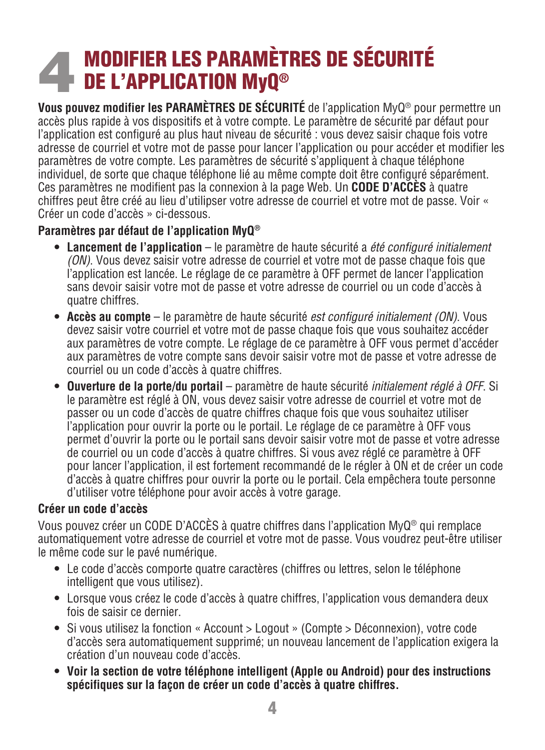### **4 MODIFIER LES PARAMÈT<br>DE L'APPLICATION MyQ®** MODIFIER LES PARAMÈTRES DE SÉCURITÉ

**Vous pouvez modifier les PARAMÈTRES DE SÉCURITÉ** de l'application MyQ® pour permettre un accès plus rapide à vos dispositifs et à votre compte. Le paramètre de sécurité par défaut pour l'application est configuré au plus haut niveau de sécurité : vous devez saisir chaque fois votre adresse de courriel et votre mot de passe pour lancer l'application ou pour accéder et modifier les paramètres de votre compte. Les paramètres de sécurité s'appliquent à chaque téléphone individuel, de sorte que chaque téléphone lié au même compte doit être configuré séparément. Ces paramètres ne modifient pas la connexion à la page Web. Un **CODE D'ACCÈS** à quatre chiffres peut être créé au lieu d'utilipser votre adresse de courriel et votre mot de passe. Voir « Créer un code d'accès » ci-dessous.

### **Paramètres par défaut de l'application MyQ®**

- **Lancement de l'application** le paramètre de haute sécurité a *été configuré initialement (ON)*. Vous devez saisir votre adresse de courriel et votre mot de passe chaque fois que l'application est lancée. Le réglage de ce paramètre à OFF permet de lancer l'application sans devoir saisir votre mot de passe et votre adresse de courriel ou un code d'accès à quatre chiffres.
- **Accès au compte** le paramètre de haute sécurité *est configuré initialement (ON)*. Vous devez saisir votre courriel et votre mot de passe chaque fois que vous souhaitez accéder aux paramètres de votre compte. Le réglage de ce paramètre à OFF vous permet d'accéder aux paramètres de votre compte sans devoir saisir votre mot de passe et votre adresse de courriel ou un code d'accès à quatre chiffres.
- **Ouverture de la porte/du portail** paramètre de haute sécurité *initialement réglé à OFF*. Si le paramètre est réglé à ON, vous devez saisir votre adresse de courriel et votre mot de passer ou un code d'accès de quatre chiffres chaque fois que vous souhaitez utiliser l'application pour ouvrir la porte ou le portail. Le réglage de ce paramètre à OFF vous permet d'ouvrir la porte ou le portail sans devoir saisir votre mot de passe et votre adresse de courriel ou un code d'accès à quatre chiffres. Si vous avez réglé ce paramètre à OFF pour lancer l'application, il est fortement recommandé de le régler à ON et de créer un code d'accès à quatre chiffres pour ouvrir la porte ou le portail. Cela empêchera toute personne d'utiliser votre téléphone pour avoir accès à votre garage.

### **Créer un code d'accès**

Vous pouvez créer un CODE D'ACCÈS à quatre chiffres dans l'application MyQ® qui remplace automatiquement votre adresse de courriel et votre mot de passe. Vous voudrez peut-être utiliser le même code sur le pavé numérique.

- Le code d'accès comporte quatre caractères (chiffres ou lettres, selon le téléphone intelligent que vous utilisez).
- Lorsque vous créez le code d'accès à quatre chiffres, l'application vous demandera deux fois de saisir ce dernier.
- Si vous utilisez la fonction « Account > Logout » (Compte > Déconnexion), votre code d'accès sera automatiquement supprimé; un nouveau lancement de l'application exigera la création d'un nouveau code d'accès.
- **Voir la section de votre téléphone intelligent (Apple ou Android) pour des instructions spécifiques sur la façon de créer un code d'accès à quatre chiffres.**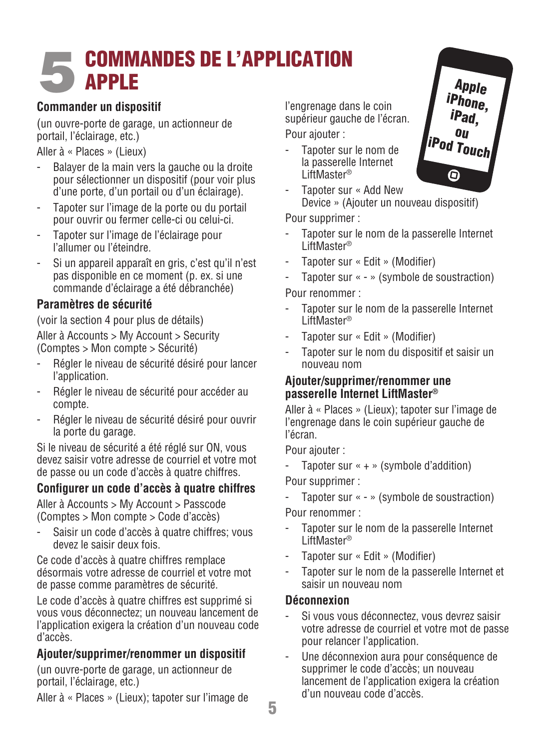### 5COMMANDES DE L'APPLICATION APPLE

#### **Commander un dispositif**

(un ouvre-porte de garage, un actionneur de portail, l'éclairage, etc.)

Aller à « Places » (Lieux)

- Balayer de la main vers la gauche ou la droite pour sélectionner un dispositif (pour voir plus d'une porte, d'un portail ou d'un éclairage).
- Tapoter sur l'image de la porte ou du portail pour ouvrir ou fermer celle-ci ou celui-ci.
- Tapoter sur l'image de l'éclairage pour l'allumer ou l'éteindre.
- Si un appareil apparaît en gris, c'est qu'il n'est pas disponible en ce moment (p. ex. si une commande d'éclairage a été débranchée)

### **Paramètres de sécurité**

(voir la section 4 pour plus de détails)

Aller à Accounts > My Account > Security (Comptes > Mon compte > Sécurité)

- Régler le niveau de sécurité désiré pour lancer l'application.
- Régler le niveau de sécurité pour accéder au compte.
- Régler le niveau de sécurité désiré pour ouvrir la porte du garage.

Si le niveau de sécurité a été réglé sur ON, vous devez saisir votre adresse de courriel et votre mot de passe ou un code d'accès à quatre chiffres.

### **Configurer un code d'accès à quatre chiffres**

Aller à Accounts > My Account > Passcode (Comptes > Mon compte > Code d'accès)

Saisir un code d'accès à quatre chiffres; vous devez le saisir deux fois.

Ce code d'accès à quatre chiffres remplace désormais votre adresse de courriel et votre mot de passe comme paramètres de sécurité.

Le code d'accès à quatre chiffres est supprimé si vous vous déconnectez; un nouveau lancement de l'application exigera la création d'un nouveau code d'accès.

#### **Ajouter/supprimer/renommer un dispositif**

(un ouvre-porte de garage, un actionneur de portail, l'éclairage, etc.)

Aller à « Places » (Lieux); tapoter sur l'image de

l'engrenage dans le coin supérieur gauche de l'écran.

Pour ajouter :

- Tapoter sur le nom de la passerelle Internet LiftMaster®

Tapoter sur « Add New Device » (Ajouter un nouveau dispositif)

Pour supprimer :

- Tapoter sur le nom de la passerelle Internet LiftMaster®
- Tapoter sur « Edit » (Modifier)
- Tapoter sur « » (symbole de soustraction)

Pour renommer :

- Tapoter sur le nom de la passerelle Internet LiftMaster®
- Tapoter sur « Edit » (Modifier)
- Tapoter sur le nom du dispositif et saisir un nouveau nom

#### **Ajouter/supprimer/renommer une passerelle Internet LiftMaster®**

Aller à « Places » (Lieux); tapoter sur l'image de l'engrenage dans le coin supérieur gauche de l'écran.

Pour ajouter :

- Tapoter sur « + » (symbole d'addition)

Pour supprimer :

- Tapoter sur « - » (symbole de soustraction)

Pour renommer :

- Tapoter sur le nom de la passerelle Internet LiftMaster®
- Tapoter sur « Edit » (Modifier)
- Tapoter sur le nom de la passerelle Internet et saisir un nouveau nom

### **Déconnexion**

- Si vous vous déconnectez, vous devrez saisir votre adresse de courriel et votre mot de passe pour relancer l'application.
- Une déconnexion aura pour conséquence de supprimer le code d'accès; un nouveau lancement de l'application exigera la création d'un nouveau code d'accès.

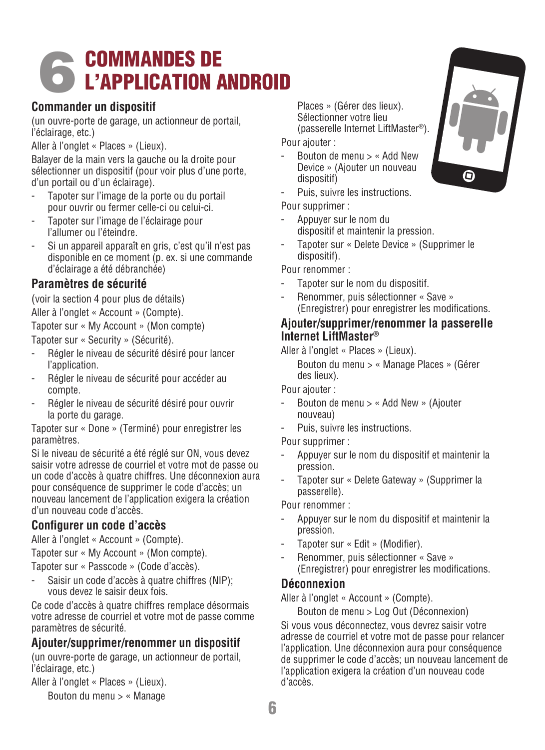# 6COMMANDES DE L'APPLICATION ANDROID

#### **Commander un dispositif**

(un ouvre-porte de garage, un actionneur de portail, l'éclairage, etc.)

Aller à l'onglet « Places » (Lieux).

Balayer de la main vers la gauche ou la droite pour sélectionner un dispositif (pour voir plus d'une porte, d'un portail ou d'un éclairage).

- Tapoter sur l'image de la porte ou du portail pour ouvrir ou fermer celle-ci ou celui-ci.
- Tapoter sur l'image de l'éclairage pour l'allumer ou l'éteindre.
- Si un appareil apparaît en gris, c'est qu'il n'est pas disponible en ce moment (p. ex. si une commande d'éclairage a été débranchée)

#### **Paramètres de sécurité**

(voir la section 4 pour plus de détails)

Aller à l'onglet « Account » (Compte).

Tapoter sur « My Account » (Mon compte)

Tapoter sur « Security » (Sécurité).

- Régler le niveau de sécurité désiré pour lancer l'application.
- Régler le niveau de sécurité pour accéder au compte.
- Régler le niveau de sécurité désiré pour ouvrir la porte du garage.

Tapoter sur « Done » (Terminé) pour enregistrer les paramètres.

Si le niveau de sécurité a été réglé sur ON, vous devez saisir votre adresse de courriel et votre mot de passe ou un code d'accès à quatre chiffres. Une déconnexion aura pour conséquence de supprimer le code d'accès; un nouveau lancement de l'application exigera la création d'un nouveau code d'accès.

### **Configurer un code d'accès**

Aller à l'onglet « Account » (Compte).

Tapoter sur « My Account » (Mon compte).

Tapoter sur « Passcode » (Code d'accès).

Saisir un code d'accès à quatre chiffres (NIP); vous devez le saisir deux fois.

Ce code d'accès à quatre chiffres remplace désormais votre adresse de courriel et votre mot de passe comme paramètres de sécurité.

### **Ajouter/supprimer/renommer un dispositif**

(un ouvre-porte de garage, un actionneur de portail, l'éclairage, etc.)

Aller à l'onglet « Places » (Lieux).

Bouton du menu > « Manage

 Places » (Gérer des lieux). Sélectionner votre lieu (passerelle Internet LiftMaster®).

Pour ajouter :

- Bouton de menu > « Add New Device » (Ajouter un nouveau dispositif)
- Puis, suivre les instructions.

Pour supprimer :

- Appuyer sur le nom du dispositif et maintenir la pression.
- Tapoter sur « Delete Device » (Supprimer le dispositif).

Pour renommer :

- Tapoter sur le nom du dispositif.
- Renommer, puis sélectionner « Save » (Enregistrer) pour enregistrer les modifications.

#### **Ajouter/supprimer/renommer la passerelle Internet LiftMaster®**

Aller à l'onglet « Places » (Lieux).

 Bouton du menu > « Manage Places » (Gérer des lieux).

Pour ajouter :

- Bouton de menu > « Add New » (Ajouter nouveau)
- Puis, suivre les instructions.

Pour supprimer :

- Appuyer sur le nom du dispositif et maintenir la pression.
- Tapoter sur « Delete Gateway » (Supprimer la passerelle).

Pour renommer :

- Appuyer sur le nom du dispositif et maintenir la pression.
- Tapoter sur « Edit » (Modifier).
- Renommer, puis sélectionner « Save » (Enregistrer) pour enregistrer les modifications.

### **Déconnexion**

Aller à l'onglet « Account » (Compte).

Bouton de menu > Log Out (Déconnexion)

Si vous vous déconnectez, vous devrez saisir votre adresse de courriel et votre mot de passe pour relancer l'application. Une déconnexion aura pour conséquence de supprimer le code d'accès; un nouveau lancement de l'application exigera la création d'un nouveau code d'accès.

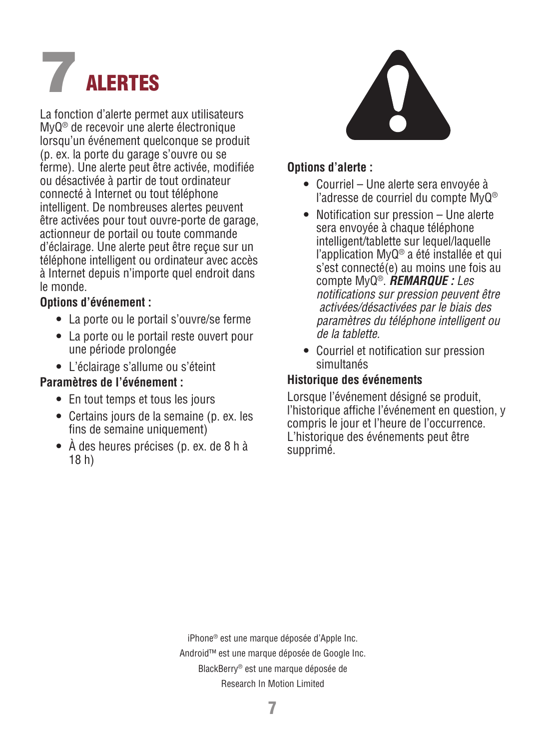## **ALERTES**

La fonction d'alerte permet aux utilisateurs MyQ® de recevoir une alerte électronique lorsqu'un événement quelconque se produit (p. ex. la porte du garage s'ouvre ou se ferme). Une alerte peut être activée, modifiée ou désactivée à partir de tout ordinateur connecté à Internet ou tout téléphone intelligent. De nombreuses alertes peuvent être activées pour tout ouvre-porte de garage, actionneur de portail ou toute commande d'éclairage. Une alerte peut être reçue sur un téléphone intelligent ou ordinateur avec accès à Internet depuis n'importe quel endroit dans le monde.

#### **Options d'événement :**

- La porte ou le portail s'ouvre/se ferme
- La porte ou le portail reste ouvert pour une période prolongée
- L'éclairage s'allume ou s'éteint

### **Paramètres de l'événement :**

- En tout temps et tous les jours
- Certains jours de la semaine (p. ex. les fins de semaine uniquement)
- À des heures précises (p. ex. de 8 h à 18 h)



#### **Options d'alerte :**

- Courriel Une alerte sera envoyée à l'adresse de courriel du compte MyQ®
- Notification sur pression Une alerte sera envoyée à chaque téléphone intelligent/tablette sur lequel/laquelle l'application MyQ® a été installée et qui s'est connecté(e) au moins une fois au compte MyQ®. *REMARQUE : Les notifications sur pression peuvent être activées/désactivées par le biais des paramètres du téléphone intelligent ou de la tablette.*
- Courriel et notification sur pression simultanés

### **Historique des événements**

Lorsque l'événement désigné se produit, l'historique affiche l'événement en question, y compris le jour et l'heure de l'occurrence. L'historique des événements peut être supprimé.

iPhone® est une marque déposée d'Apple Inc. Android™ est une marque déposée de Google Inc. BlackBerry® est une marque déposée de Research In Motion Limited